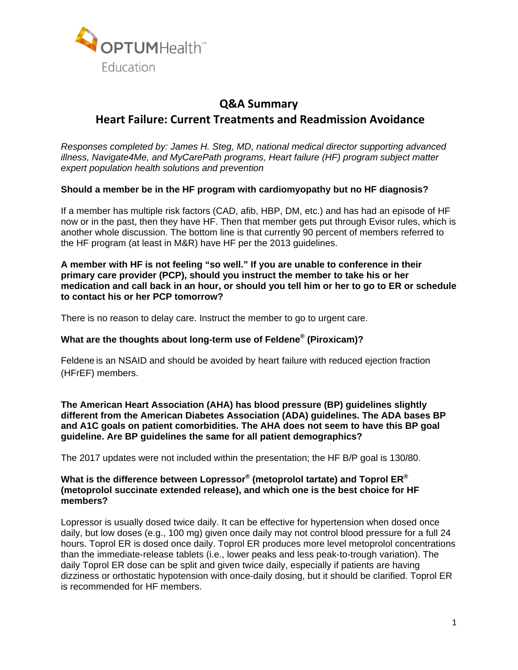

# **Q&A Summary Heart Failure: Current Treatments and Readmission Avoidance**

*Responses completed by: James H. Steg, MD, national medical director supporting advanced illness, Navigate4Me, and MyCarePath programs, Heart failure (HF) program subject matter expert population health solutions and prevention* 

#### **Should a member be in the HF program with cardiomyopathy but no HF diagnosis?**

If a member has multiple risk factors (CAD, afib, HBP, DM, etc.) and has had an episode of HF now or in the past, then they have HF. Then that member gets put through Evisor rules, which is another whole discussion. The bottom line is that currently 90 percent of members referred to the HF program (at least in M&R) have HF per the 2013 guidelines.

**A member with HF is not feeling "so well." If you are unable to conference in their primary care provider (PCP), should you instruct the member to take his or her medication and call back in an hour, or should you tell him or her to go to ER or schedule to contact his or her PCP tomorrow?** 

There is no reason to delay care. Instruct the member to go to urgent care.

# **What are the thoughts about long-term use of Feldene® (Piroxicam)?**

Feldene is an NSAID and should be avoided by heart failure with reduced ejection fraction (HFrEF) members.

**The American Heart Association (AHA) has blood pressure (BP) guidelines slightly different from the American Diabetes Association (ADA) guidelines. The ADA bases BP and A1C goals on patient comorbidities. The AHA does not seem to have this BP goal guideline. Are BP guidelines the same for all patient demographics?** 

The 2017 updates were not included within the presentation; the HF B/P goal is 130/80.

#### **What is the difference between Lopressor® (metoprolol tartate) and Toprol ER® (metoprolol succinate extended release), and which one is the best choice for HF members?**

Lopressor is usually dosed twice daily. It can be effective for hypertension when dosed once daily, but low doses (e.g., 100 mg) given once daily may not control blood pressure for a full 24 hours. Toprol ER is dosed once daily. Toprol ER produces more level metoprolol concentrations than the immediate-release tablets (i.e., lower peaks and less peak-to-trough variation). The daily Toprol ER dose can be split and given twice daily, especially if patients are having dizziness or orthostatic hypotension with once-daily dosing, but it should be clarified. Toprol ER is recommended for HF members.